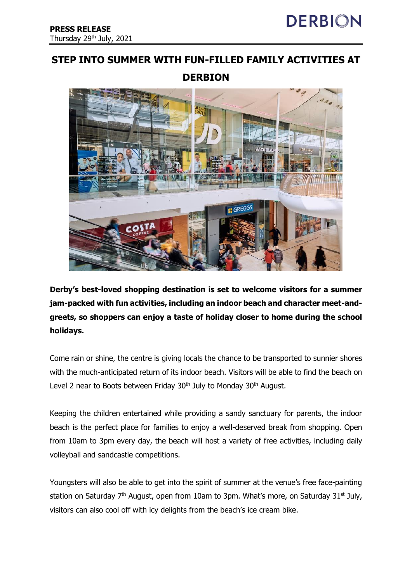## **STEP INTO SUMMER WITH FUN-FILLED FAMILY ACTIVITIES AT**

## **DERBION**



**Derby's best-loved shopping destination is set to welcome visitors for a summer jam-packed with fun activities, including an indoor beach and character meet-andgreets, so shoppers can enjoy a taste of holiday closer to home during the school holidays.** 

Come rain or shine, the centre is giving locals the chance to be transported to sunnier shores with the much-anticipated return of its indoor beach. Visitors will be able to find the beach on Level 2 near to Boots between Friday  $30<sup>th</sup>$  July to Monday  $30<sup>th</sup>$  August.

Keeping the children entertained while providing a sandy sanctuary for parents, the indoor beach is the perfect place for families to enjoy a well-deserved break from shopping. Open from 10am to 3pm every day, the beach will host a variety of free activities, including daily volleyball and sandcastle competitions.

Youngsters will also be able to get into the spirit of summer at the venue's free face-painting station on Saturday  $7<sup>th</sup>$  August, open from 10am to 3pm. What's more, on Saturday 31<sup>st</sup> July, visitors can also cool off with icy delights from the beach's ice cream bike.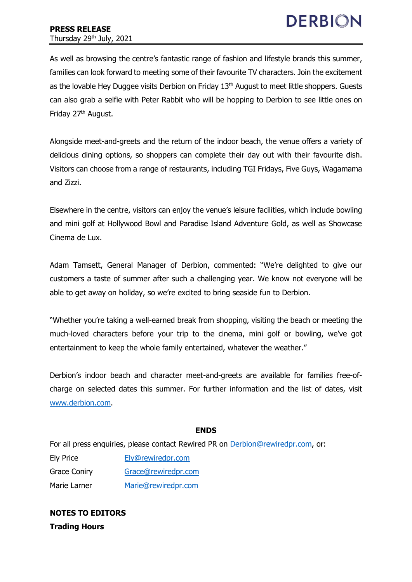As well as browsing the centre's fantastic range of fashion and lifestyle brands this summer, families can look forward to meeting some of their favourite TV characters. Join the excitement as the lovable Hey Duggee visits Derbion on Friday 13<sup>th</sup> August to meet little shoppers. Guests can also grab a selfie with Peter Rabbit who will be hopping to Derbion to see little ones on Friday 27<sup>th</sup> August.

Alongside meet-and-greets and the return of the indoor beach, the venue offers a variety of delicious dining options, so shoppers can complete their day out with their favourite dish. Visitors can choose from a range of restaurants, including TGI Fridays, Five Guys, Wagamama and Zizzi.

Elsewhere in the centre, visitors can enjoy the venue's leisure facilities, which include bowling and mini golf at Hollywood Bowl and Paradise Island Adventure Gold, as well as Showcase Cinema de Lux.

Adam Tamsett, General Manager of Derbion, commented: "We're delighted to give our customers a taste of summer after such a challenging year. We know not everyone will be able to get away on holiday, so we're excited to bring seaside fun to Derbion.

"Whether you're taking a well-earned break from shopping, visiting the beach or meeting the much-loved characters before your trip to the cinema, mini golf or bowling, we've got entertainment to keep the whole family entertained, whatever the weather."

Derbion's indoor beach and character meet-and-greets are available for families free-ofcharge on selected dates this summer. For further information and the list of dates, visit [www.derbion.com.](http://www.derbion.com/)

## **ENDS**

For all press enquiries, please contact Rewired PR on [Derbion@rewiredpr.com,](mailto:DerbyCentre@rewiredpr.com) or:

Ely Price [Ely@rewiredpr.com](mailto:Ely@rewiredpr.com) Grace Coniry [Grace@rewiredpr.com](mailto:Grace@rewiredpr.com) Marie Larner [Marie@rewiredpr.com](mailto:Marie@rewiredpr.com)

**NOTES TO EDITORS Trading Hours**